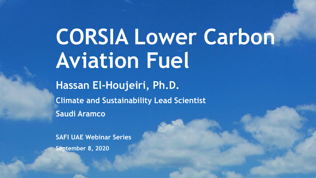## **CORSIA Lower Carbon Aviation Fuel**

**Hassan El-Houjeiri, Ph.D. Climate and Sustainability Lead Scientist Saudi Aramco**

**SAFI UAE Webinar Series September 8, 2020**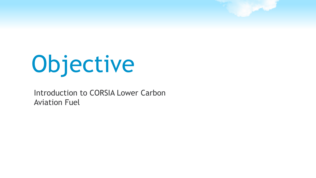# Objective

### Introduction to CORSIA Lower Carbon Aviation Fuel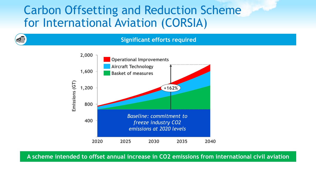## Carbon Offsetting and Reduction Scheme for International Aviation (CORSIA)

### **Significant efforts required**



**A scheme intended to offset annual increase in CO2 emissions from international civil aviation**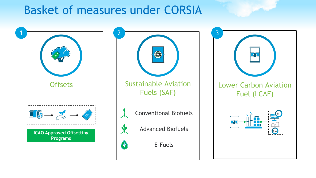## Basket of measures under CORSIA

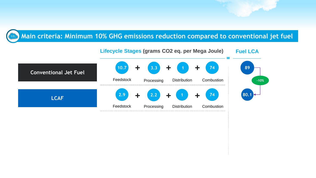#### **Main criteria: Minimum 10% GHG emissions reduction compared to conventional jet fuel**  $CO<sub>2</sub>$

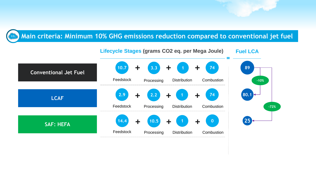#### **Main criteria: Minimum 10% GHG emissions reduction compared to conventional jet fuel**  $CO<sub>2</sub>$

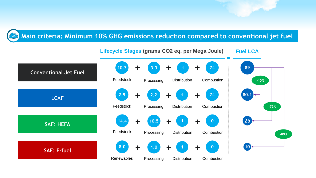### **Main criteria: Minimum 10% GHG emissions reduction compared to conventional jet fuel**  $\mathsf{CO_2}$